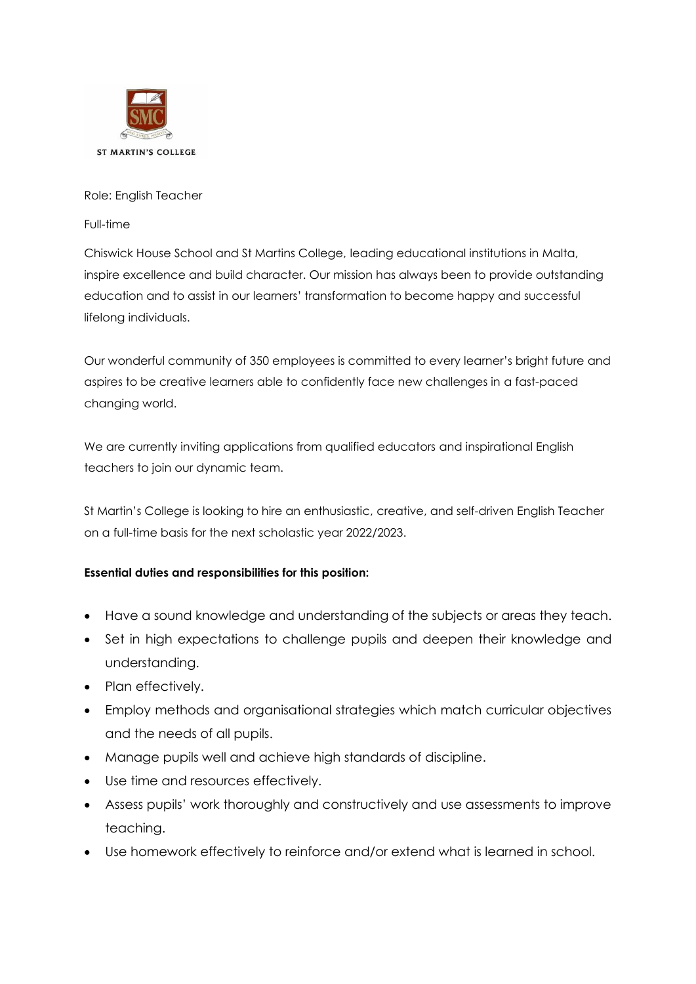

Role: English Teacher

Full-time

Chiswick House School and St Martins College, leading educational institutions in Malta, inspire excellence and build character. Our mission has always been to provide outstanding education and to assist in our learners' transformation to become happy and successful lifelong individuals.

Our wonderful community of 350 employees is committed to every learner's bright future and aspires to be creative learners able to confidently face new challenges in a fast-paced changing world.

We are currently inviting applications from qualified educators and inspirational English teachers to join our dynamic team.

St Martin's College is looking to hire an enthusiastic, creative, and self-driven English Teacher on a full-time basis for the next scholastic year 2022/2023.

## **Essential duties and responsibilities for this position:**

- Have a sound knowledge and understanding of the subjects or areas they teach.
- Set in high expectations to challenge pupils and deepen their knowledge and understanding.
- Plan effectively.
- Employ methods and organisational strategies which match curricular objectives and the needs of all pupils.
- Manage pupils well and achieve high standards of discipline.
- Use time and resources effectively.
- Assess pupils' work thoroughly and constructively and use assessments to improve teaching.
- Use homework effectively to reinforce and/or extend what is learned in school.